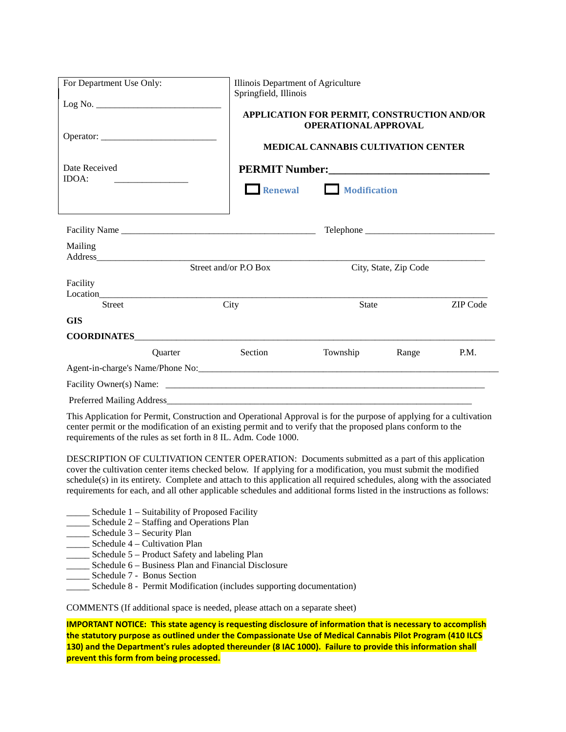| For Department Use Only: |         | Illinois Department of Agriculture<br>Springfield, Illinois                                                         |                                                                            |                       |          |  |  |
|--------------------------|---------|---------------------------------------------------------------------------------------------------------------------|----------------------------------------------------------------------------|-----------------------|----------|--|--|
|                          |         |                                                                                                                     | APPLICATION FOR PERMIT, CONSTRUCTION AND/OR<br><b>OPERATIONAL APPROVAL</b> |                       |          |  |  |
| Operator:                |         |                                                                                                                     | <b>MEDICAL CANNABIS CULTIVATION CENTER</b>                                 |                       |          |  |  |
| Date Received            |         |                                                                                                                     |                                                                            |                       |          |  |  |
| IDOA:                    |         | $\Box$ Renewal                                                                                                      | <b>Modification</b>                                                        |                       |          |  |  |
|                          |         |                                                                                                                     |                                                                            |                       |          |  |  |
| Mailing                  |         |                                                                                                                     |                                                                            |                       |          |  |  |
|                          |         | Street and/or P.O Box                                                                                               |                                                                            | City, State, Zip Code |          |  |  |
| Facility                 |         |                                                                                                                     |                                                                            |                       |          |  |  |
| <b>Street</b>            |         | City                                                                                                                | <b>State</b>                                                               |                       | ZIP Code |  |  |
| <b>GIS</b>               |         |                                                                                                                     |                                                                            |                       |          |  |  |
|                          |         |                                                                                                                     |                                                                            |                       |          |  |  |
|                          | Quarter | Section                                                                                                             | Township                                                                   | Range                 | P.M.     |  |  |
|                          |         |                                                                                                                     |                                                                            |                       |          |  |  |
|                          |         |                                                                                                                     |                                                                            |                       |          |  |  |
|                          |         |                                                                                                                     |                                                                            |                       |          |  |  |
|                          |         | This Application for Permit. Construction and Operational Approval is for the purpose of applying for a cultivation |                                                                            |                       |          |  |  |

This Application for Permit, Construction and Operational Approval is for the purpose of applying for a cultivation center permit or the modification of an existing permit and to verify that the proposed plans conform to the requirements of the rules as set forth in 8 IL. Adm. Code 1000.

DESCRIPTION OF CULTIVATION CENTER OPERATION: Documents submitted as a part of this application cover the cultivation center items checked below. If applying for a modification, you must submit the modified schedule(s) in its entirety. Complete and attach to this application all required schedules, along with the associated requirements for each, and all other applicable schedules and additional forms listed in the instructions as follows:

- Schedule  $1$  Suitability of Proposed Facility
- \_\_\_\_\_ Schedule 2 Staffing and Operations Plan
- \_\_\_\_\_ Schedule 3 Security Plan
- \_\_\_\_\_ Schedule 4 Cultivation Plan
- Schedule 5 Product Safety and labeling Plan
- Schedule 6 Business Plan and Financial Disclosure
- Schedule 7 Bonus Section
- \_\_\_\_\_ Schedule 8 Permit Modification (includes supporting documentation)

COMMENTS (If additional space is needed, please attach on a separate sheet)

**IMPORTANT NOTICE: This state agency is requesting disclosure of information that is necessary to accomplish the statutory purpose as outlined under the Compassionate Use of Medical Cannabis Pilot Program (410 ILCS 130) and the Department's rules adopted thereunder (8 IAC 1000). Failure to provide this information shall prevent this form from being processed.**